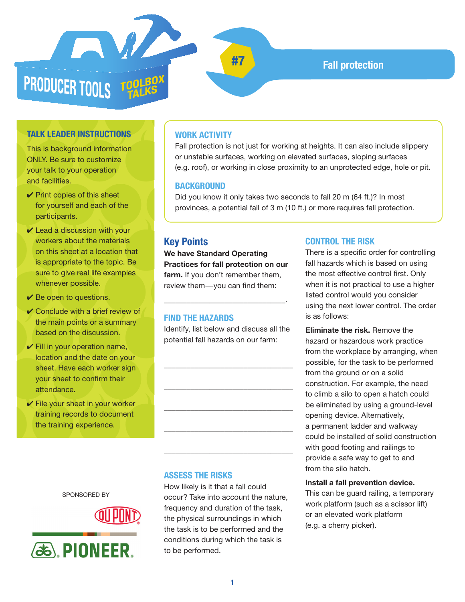

**#7 Fall protection**

## **TALK LEADER INSTRUCTIONS**

This is background information ONLY. Be sure to customize your talk to your operation and facilities.

- $\vee$  Print copies of this sheet for yourself and each of the participants.
- $\vee$  Lead a discussion with your workers about the materials on this sheet at a location that is appropriate to the topic. Be sure to give real life examples whenever possible.
- $\vee$  Be open to questions.
- $\vee$  Conclude with a brief review of the main points or a summary based on the discussion.
- $\checkmark$  Fill in your operation name, location and the date on your sheet. Have each worker sign your sheet to confirm their attendance.
- $\checkmark$  File your sheet in your worker training records to document the training experience.

SPONSORED BY

**88, PIONEER.** 



# \_\_\_\_\_\_\_\_\_\_\_\_\_\_\_\_\_\_\_\_\_\_\_\_\_\_\_\_\_\_\_\_\_\_

#### **ASSESS THE RISKS**

How likely is it that a fall could occur? Take into account the nature, frequency and duration of the task, the physical surroundings in which the task is to be performed and the conditions during which the task is to be performed.

# **WORK ACTIVITY**

Fall protection is not just for working at heights. It can also include slippery or unstable surfaces, working on elevated surfaces, sloping surfaces (e.g. roof), or working in close proximity to an unprotected edge, hole or pit.

#### **BACKGROUND**

Did you know it only takes two seconds to fall 20 m (64 ft.)? In most provinces, a potential fall of 3 m (10 ft.) or more requires fall protection.

# **Key Points**

**We have Standard Operating Practices for fall protection on our farm.** If you don't remember them, review them-you can find them:

\_\_\_\_\_\_\_\_\_\_\_\_\_\_\_\_\_\_\_\_\_\_\_\_\_\_\_\_\_\_\_\_.

#### **FIND THE HAZARDS**

Identify, list below and discuss all the potential fall hazards on our farm:

\_\_\_\_\_\_\_\_\_\_\_\_\_\_\_\_\_\_\_\_\_\_\_\_\_\_\_\_\_\_\_\_\_\_

\_\_\_\_\_\_\_\_\_\_\_\_\_\_\_\_\_\_\_\_\_\_\_\_\_\_\_\_\_\_\_\_\_\_

\_\_\_\_\_\_\_\_\_\_\_\_\_\_\_\_\_\_\_\_\_\_\_\_\_\_\_\_\_\_\_\_\_\_

\_\_\_\_\_\_\_\_\_\_\_\_\_\_\_\_\_\_\_\_\_\_\_\_\_\_\_\_\_\_\_\_\_\_

#### **CONTROL THE RISK**

There is a specific order for controlling fall hazards which is based on using the most effective control first. Only when it is not practical to use a higher listed control would you consider using the next lower control. The order is as follows:

**Eliminate the risk.** Remove the hazard or hazardous work practice from the workplace by arranging, when possible, for the task to be performed from the ground or on a solid construction. For example, the need to climb a silo to open a hatch could be eliminated by using a ground-level opening device. Alternatively, a permanent ladder and walkway could be installed of solid construction with good footing and railings to provide a safe way to get to and from the silo hatch.

#### **Install a fall prevention device.**

This can be guard railing, a temporary work platform (such as a scissor lift) or an elevated work platform (e.g. a cherry picker).

**1**